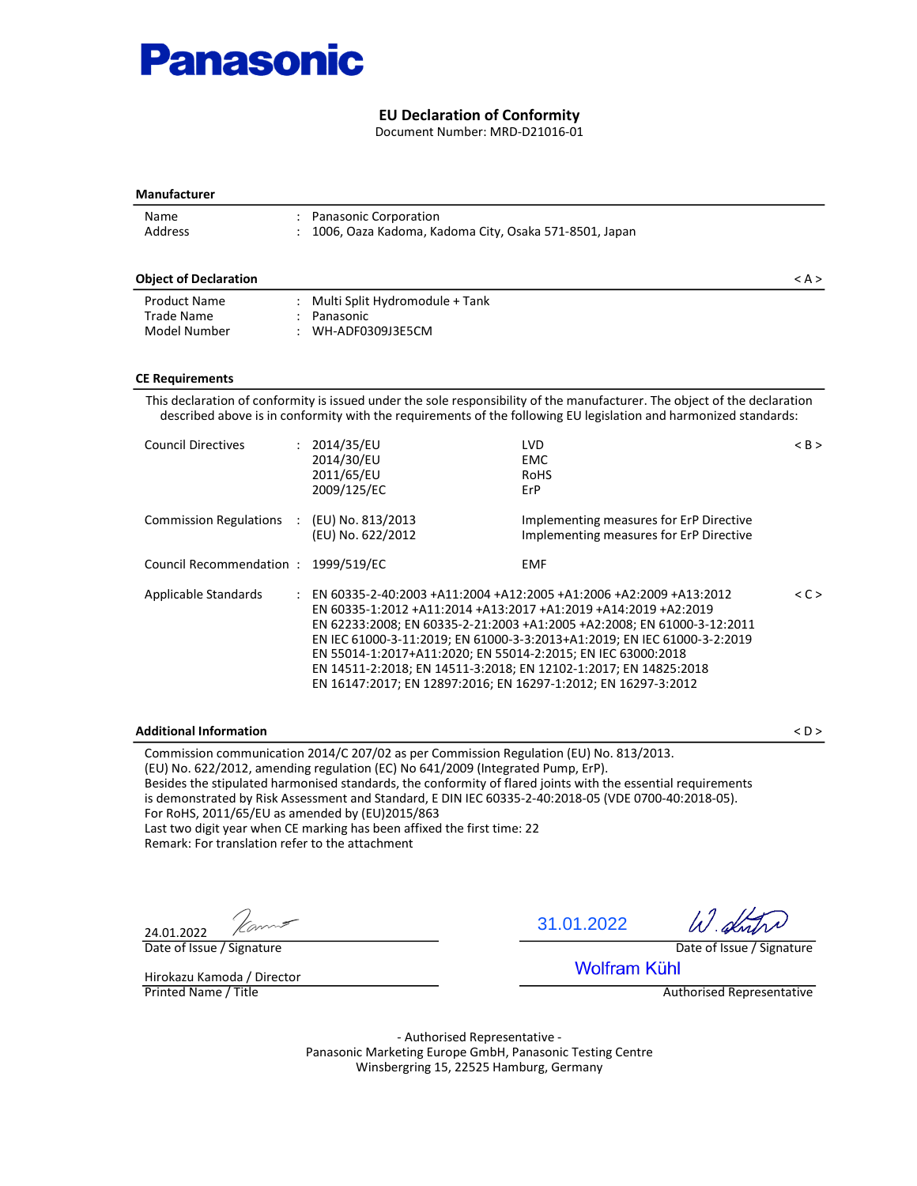

#### EU Declaration of Conformity

Document Number: MRD-D21016-01

| <b>Manufacturer</b>                                                                                |                                                                                                                                                                                                                                                                                                                                                                                                                                                                                                      |                                                                                    |                                  |
|----------------------------------------------------------------------------------------------------|------------------------------------------------------------------------------------------------------------------------------------------------------------------------------------------------------------------------------------------------------------------------------------------------------------------------------------------------------------------------------------------------------------------------------------------------------------------------------------------------------|------------------------------------------------------------------------------------|----------------------------------|
| Name<br>Address                                                                                    | Panasonic Corporation<br>1006, Oaza Kadoma, Kadoma City, Osaka 571-8501, Japan                                                                                                                                                                                                                                                                                                                                                                                                                       |                                                                                    |                                  |
| <b>Object of Declaration</b>                                                                       |                                                                                                                                                                                                                                                                                                                                                                                                                                                                                                      |                                                                                    | < A >                            |
| <b>Product Name</b><br><b>Trade Name</b><br>Model Number                                           | : Multi Split Hydromodule + Tank<br>Panasonic<br>WH-ADF0309J3E5CM                                                                                                                                                                                                                                                                                                                                                                                                                                    |                                                                                    |                                  |
| <b>CE Requirements</b>                                                                             |                                                                                                                                                                                                                                                                                                                                                                                                                                                                                                      |                                                                                    |                                  |
|                                                                                                    | This declaration of conformity is issued under the sole responsibility of the manufacturer. The object of the declaration<br>described above is in conformity with the requirements of the following EU legislation and harmonized standards:                                                                                                                                                                                                                                                        |                                                                                    |                                  |
| <b>Council Directives</b>                                                                          | : 2014/35/EU<br>2014/30/EU<br>2011/65/EU<br>2009/125/EC                                                                                                                                                                                                                                                                                                                                                                                                                                              | LVD<br><b>EMC</b><br><b>RoHS</b><br>ErP                                            | $<$ B $>$                        |
| <b>Commission Regulations</b>                                                                      | : (EU) No. 813/2013<br>(EU) No. 622/2012                                                                                                                                                                                                                                                                                                                                                                                                                                                             | Implementing measures for ErP Directive<br>Implementing measures for ErP Directive |                                  |
| Council Recommendation: 1999/519/EC                                                                |                                                                                                                                                                                                                                                                                                                                                                                                                                                                                                      | <b>EMF</b>                                                                         |                                  |
| Applicable Standards                                                                               | : EN 60335-2-40:2003 +A11:2004 +A12:2005 +A1:2006 +A2:2009 +A13:2012<br>EN 60335-1:2012 +A11:2014 +A13:2017 +A1:2019 +A14:2019 +A2:2019<br>EN 62233:2008; EN 60335-2-21:2003 +A1:2005 +A2:2008; EN 61000-3-12:2011<br>EN IEC 61000-3-11:2019; EN 61000-3-3:2013+A1:2019; EN IEC 61000-3-2:2019<br>EN 55014-1:2017+A11:2020; EN 55014-2:2015; EN IEC 63000:2018<br>EN 14511-2:2018; EN 14511-3:2018; EN 12102-1:2017; EN 14825:2018<br>EN 16147:2017; EN 12897:2016; EN 16297-1:2012; EN 16297-3:2012 |                                                                                    | < C                              |
| <b>Additional Information</b>                                                                      |                                                                                                                                                                                                                                                                                                                                                                                                                                                                                                      |                                                                                    | $<$ D $>$                        |
| For RoHS, 2011/65/EU as amended by (EU)2015/863<br>Remark: For translation refer to the attachment | Commission communication 2014/C 207/02 as per Commission Regulation (EU) No. 813/2013.<br>(EU) No. 622/2012, amending regulation (EC) No 641/2009 (Integrated Pump, ErP).<br>Besides the stipulated harmonised standards, the conformity of flared joints with the essential requirements<br>is demonstrated by Risk Assessment and Standard, E DIN IEC 60335-2-40:2018-05 (VDE 0700-40:2018-05).<br>Last two digit year when CE marking has been affixed the first time: 22                         |                                                                                    |                                  |
| 24.01.2022                                                                                         |                                                                                                                                                                                                                                                                                                                                                                                                                                                                                                      | 31.01.2022                                                                         | W dn                             |
| Date of Issue / Signature                                                                          |                                                                                                                                                                                                                                                                                                                                                                                                                                                                                                      | <b>Wolfram Kühl</b>                                                                | Date of Issue / Signature        |
| Hirokazu Kamoda / Director<br>Printed Name / Title                                                 |                                                                                                                                                                                                                                                                                                                                                                                                                                                                                                      |                                                                                    | <b>Authorised Representative</b> |

- Authorised Representative - Panasonic Marketing Europe GmbH, Panasonic Testing Centre Winsbergring 15, 22525 Hamburg, Germany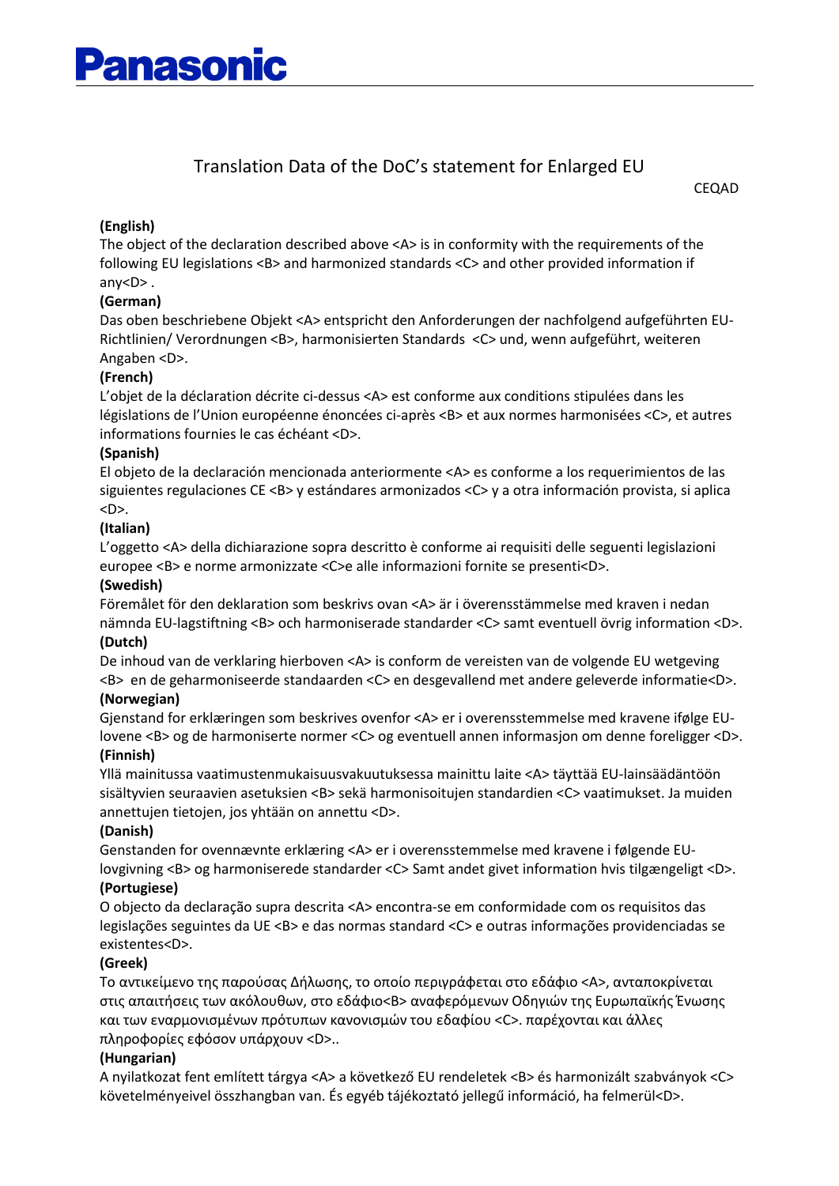## Translation Data of the DoC's statement for Enlarged EU

CEQAD

#### **(English)**

The object of the declaration described above <A> is in conformity with the requirements of the following EU legislations <B> and harmonized standards <C> and other provided information if any<D> .

#### **(German)**

Das oben beschriebene Objekt <A> entspricht den Anforderungen der nachfolgend aufgeführten EU-Richtlinien/ Verordnungen <B>, harmonisierten Standards <C> und, wenn aufgeführt, weiteren Angaben <D>.

#### **(French)**

L'objet de la déclaration décrite ci-dessus <A> est conforme aux conditions stipulées dans les législations de l'Union européenne énoncées ci-après <B> et aux normes harmonisées <C>, et autres informations fournies le cas échéant <D>.

#### **(Spanish)**

El objeto de la declaración mencionada anteriormente <A> es conforme a los requerimientos de las siguientes regulaciones CE <B> y estándares armonizados <C> y a otra información provista, si aplica <D>.

#### **(Italian)**

L'oggetto <A> della dichiarazione sopra descritto è conforme ai requisiti delle seguenti legislazioni europee <B> e norme armonizzate <C>e alle informazioni fornite se presenti<D>.

#### **(Swedish)**

Föremålet för den deklaration som beskrivs ovan <A> är i överensstämmelse med kraven i nedan nämnda EU-lagstiftning <B> och harmoniserade standarder <C> samt eventuell övrig information <D>. **(Dutch)**

De inhoud van de verklaring hierboven <A> is conform de vereisten van de volgende EU wetgeving <B> en de geharmoniseerde standaarden <C> en desgevallend met andere geleverde informatie<D>.

#### **(Norwegian)**

Gjenstand for erklæringen som beskrives ovenfor <A> er i overensstemmelse med kravene ifølge EUlovene <B> og de harmoniserte normer <C> og eventuell annen informasjon om denne foreligger <D>.

#### **(Finnish)**

Yllä mainitussa vaatimustenmukaisuusvakuutuksessa mainittu laite <A> täyttää EU-lainsäädäntöön sisältyvien seuraavien asetuksien <B> sekä harmonisoitujen standardien <C> vaatimukset. Ja muiden annettujen tietojen, jos yhtään on annettu <D>.

#### **(Danish)**

Genstanden for ovennævnte erklæring <A> er i overensstemmelse med kravene i følgende EUlovgivning <B> og harmoniserede standarder <C> Samt andet givet information hvis tilgængeligt <D>. **(Portugiese)**

O objecto da declaração supra descrita <A> encontra-se em conformidade com os requisitos das legislações seguintes da UE <B> e das normas standard <C> e outras informações providenciadas se existentes<D>.

#### **(Greek)**

Το αντικείμενο της παρούσας Δήλωσης, το οποίο περιγράφεται στο εδάφιο <A>, ανταποκρίνεται στις απαιτήσεις των ακόλουθων, στο εδάφιο<B> αναφερόμενων Οδηγιών της Ευρωπαϊκής Ένωσης και των εναρμονισμένων πρότυπων κανονισμών του εδαφίου <C>. παρέχονται και άλλες πληροφορίες εφόσον υπάρχουν <D>..

#### **(Hungarian)**

A nyilatkozat fent említett tárgya <A> a következő EU rendeletek <B> és harmonizált szabványok <C> követelményeivel összhangban van. És egyéb tájékoztató jellegű információ, ha felmerül<D>.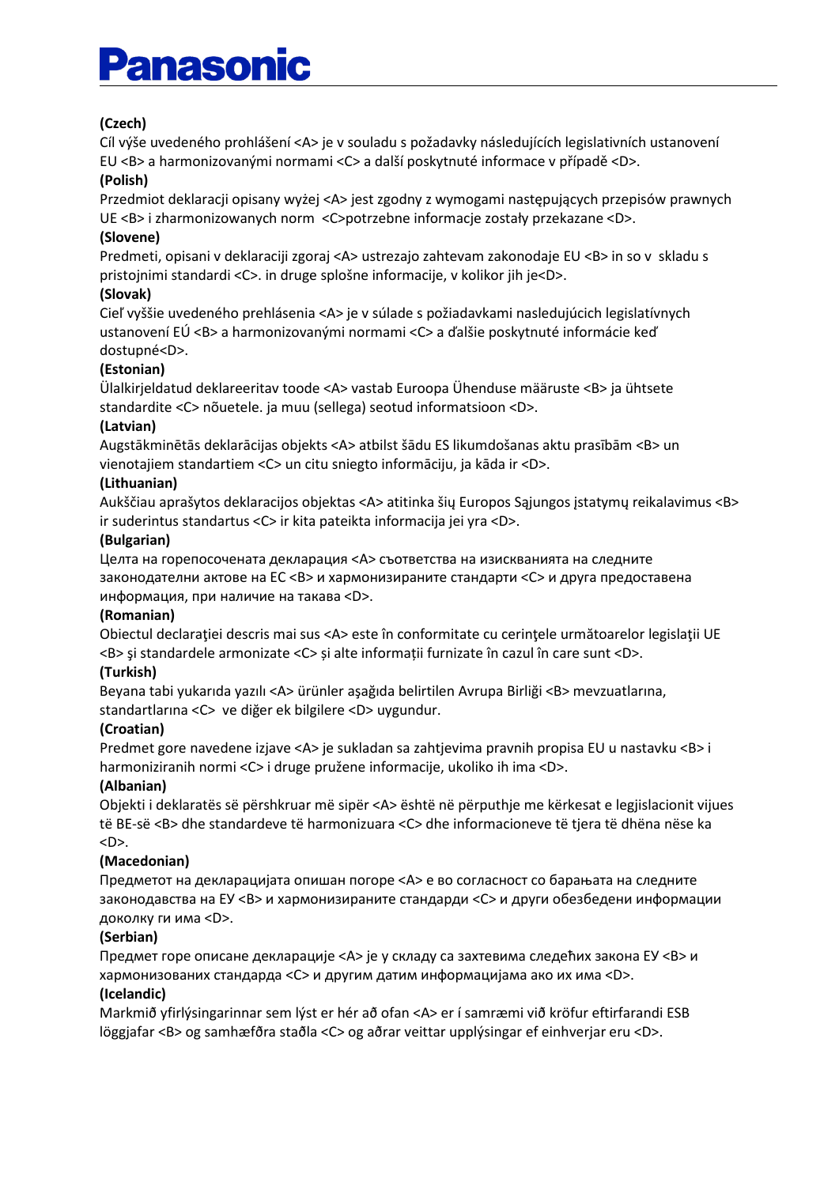# **Panasonic**

## **(Czech)**

Cíl výše uvedeného prohlášení <A> je v souladu s požadavky následujících legislativních ustanovení EU <B> a harmonizovanými normami <C> a další poskytnuté informace v případě <D>.

#### **(Polish)**

Przedmiot deklaracji opisany wyżej <A> jest zgodny z wymogami następujących przepisów prawnych UE <B> i zharmonizowanych norm <C>potrzebne informacje zostały przekazane <D>.

#### **(Slovene)**

Predmeti, opisani v deklaraciji zgoraj <A> ustrezajo zahtevam zakonodaje EU <B> in so v skladu s pristojnimi standardi <C>. in druge splošne informacije, v kolikor jih je<D>.

#### **(Slovak)**

Cieľ vyššie uvedeného prehlásenia <A> je v súlade s požiadavkami nasledujúcich legislatívnych ustanovení EÚ <B> a harmonizovanými normami <C> a ďalšie poskytnuté informácie keď dostupné<D>.

#### **(Estonian)**

Ülalkirjeldatud deklareeritav toode <A> vastab Euroopa Ühenduse määruste <B> ja ühtsete standardite <C> nõuetele. ja muu (sellega) seotud informatsioon <D>.

#### **(Latvian)**

Augstākminētās deklarācijas objekts <A> atbilst šādu ES likumdošanas aktu prasībām <B> un vienotajiem standartiem <C> un citu sniegto informāciju, ja kāda ir <D>.

#### **(Lithuanian)**

Aukščiau aprašytos deklaracijos objektas <A> atitinka šių Europos Sąjungos įstatymų reikalavimus <B> ir suderintus standartus <C> ir kita pateikta informacija jei yra <D>.

#### **(Bulgarian)**

Целта на горепосочената декларация <А> съответства на изискванията на следните законодателни актове на ЕС <B> и хармонизираните стандарти <C> и друга предоставена информация, при наличие на такава <D>.

#### **(Romanian)**

Obiectul declarației descris mai sus <A> este în conformitate cu cerințele următoarelor legislații UE <B> şi standardele armonizate <C> și alte informații furnizate în cazul în care sunt <D>.

#### **(Turkish)**

Beyana tabi yukarıda yazılı <A> ürünler aşağıda belirtilen Avrupa Birliği <B> mevzuatlarına, standartlarına <C> ve diğer ek bilgilere <D> uygundur.

#### **(Croatian)**

Predmet gore navedene izjave <A> je sukladan sa zahtjevima pravnih propisa EU u nastavku <B> i harmoniziranih normi <C> i druge pružene informacije, ukoliko ih ima <D>.

#### **(Albanian)**

Objekti i deklaratës së përshkruar më sipër <A> është në përputhje me kërkesat e legjislacionit vijues të BE-së <B> dhe standardeve të harmonizuara <C> dhe informacioneve të tjera të dhëna nëse ka <D>.

## **(Macedonian)**

Предметот на декларацијата опишан погоре <A> е во согласност со барањата на следните законодавства на ЕУ <B> и хармонизираните стандарди <C> и други обезбедени информации доколку ги има <D>.

## **(Serbian)**

Предмет горе описане декларације <А> је у складу са захтевима следећих закона ЕУ <B> и хармонизованих стандарда <C> и другим датим информацијама ако их има <D>.

#### **(Icelandic)**

Markmið yfirlýsingarinnar sem lýst er hér að ofan <A> er í samræmi við kröfur eftirfarandi ESB löggjafar <B> og samhæfðra staðla <C> og aðrar veittar upplýsingar ef einhverjar eru <D>.